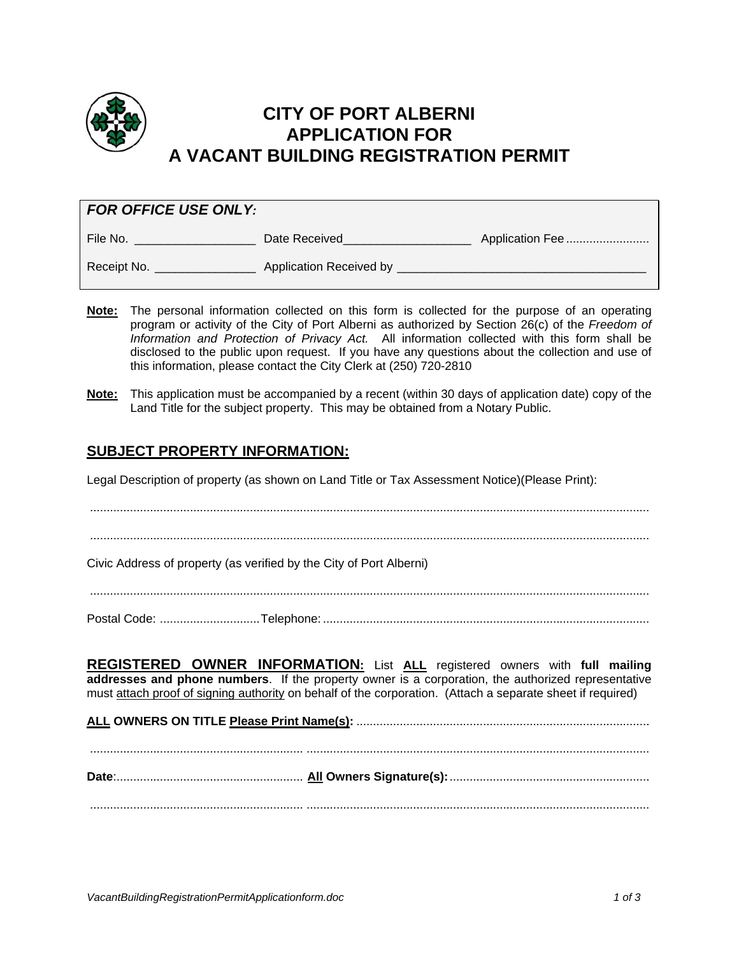

## **CITY OF PORT ALBERNI APPLICATION FOR A VACANT BUILDING REGISTRATION PERMIT**

| <b>FOR OFFICE USE ONLY:</b> |                         |                 |  |  |  |  |  |  |
|-----------------------------|-------------------------|-----------------|--|--|--|--|--|--|
| File No.                    | Date Received           | Application Fee |  |  |  |  |  |  |
| Receipt No.                 | Application Received by |                 |  |  |  |  |  |  |

- **Note:** The personal information collected on this form is collected for the purpose of an operating program or activity of the City of Port Alberni as authorized by Section 26(c) of the *Freedom of Information and Protection of Privacy Act.* All information collected with this form shall be disclosed to the public upon request. If you have any questions about the collection and use of this information, please contact the City Clerk at (250) 720-2810
- **Note:** This application must be accompanied by a recent (within 30 days of application date) copy of the Land Title for the subject property. This may be obtained from a Notary Public.

### **SUBJECT PROPERTY INFORMATION:**

Legal Description of property (as shown on Land Title or Tax Assessment Notice)(Please Print):

........................................................................................................................................................................

Civic Address of property (as verified by the City of Port Alberni)

........................................................................................................................................................................

Postal Code: .............................. Telephone: ..................................................................................................

**REGISTERED OWNER INFORMATION:** List **ALL** registered owners with **full mailing addresses and phone numbers**. If the property owner is a corporation, the authorized representative must attach proof of signing authority on behalf of the corporation. (Attach a separate sheet if required)

**ALL OWNERS ON TITLE Please Print Name(s):** ........................................................................................ ................................................................ ....................................................................................................... **Date**: ........................................................ **All Owners Signature(s):** ............................................................ ................................................................ .......................................................................................................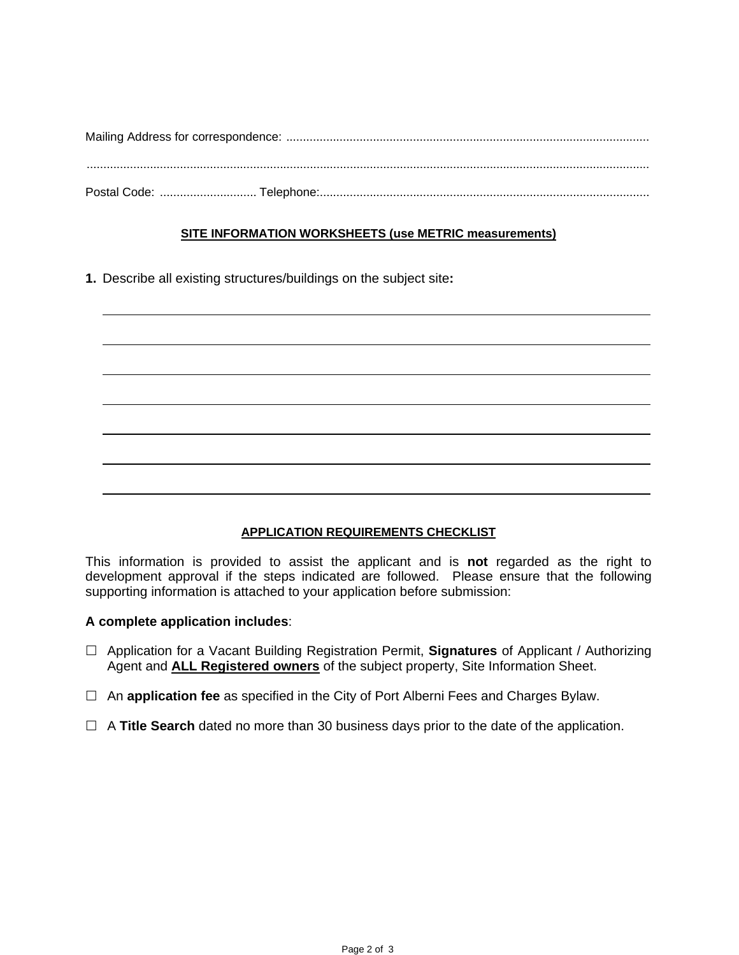#### **SITE INFORMATION WORKSHEETS (use METRIC measurements)**

**1.** Describe all existing structures/buildings on the subject site**:** 

| ,我们也不会有一个人的事情。""我们的人,我们也不会有一个人的人,我们也不会有一个人的人,我们也不会有一个人的人,我们也不会有一个人的人,我们也不会有一个人的人,<br>第二百一十一章 第二百一十一章 第二百一十一章 第二百一十一章 第二百一十一章 第二百一十一章 第二百一十一章 第二百一十一章 第二百一章 第二百一章 第二百一 |  |  |  |  |
|-----------------------------------------------------------------------------------------------------------------------------------------------------------------------|--|--|--|--|
|                                                                                                                                                                       |  |  |  |  |

#### **APPLICATION REQUIREMENTS CHECKLIST**

This information is provided to assist the applicant and is **not** regarded as the right to development approval if the steps indicated are followed. Please ensure that the following supporting information is attached to your application before submission:

#### **A complete application includes**:

- Application for a Vacant Building Registration Permit, **Signatures** of Applicant / Authorizing Agent and **ALL Registered owners** of the subject property, Site Information Sheet.
- An **application fee** as specified in the City of Port Alberni Fees and Charges Bylaw.
- A **Title Search** dated no more than 30 business days prior to the date of the application.